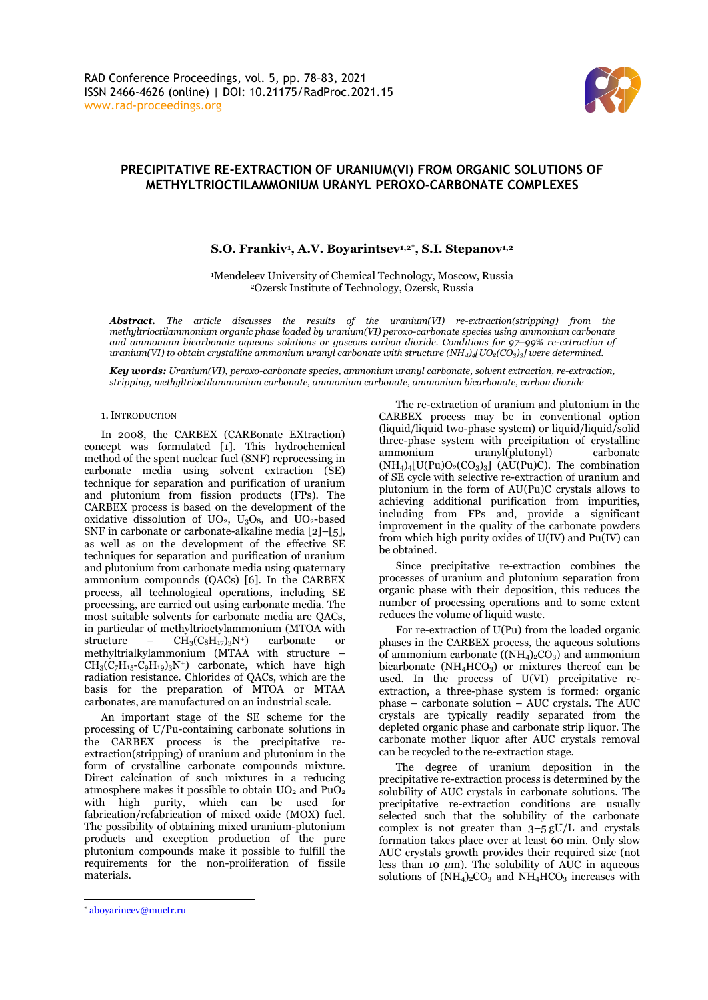

# **PRECIPITATIVE RE-EXTRACTION OF URANIUM(VI) FROM ORGANIC SOLUTIONS OF METHYLTRIOCTILAMMONIUM URANYL PEROXO-CARBONATE COMPLEXES**

## **S.O. Frankiv<sup>1</sup> , A.V. Boyarintsev1,2\* , S.I. Stepanov1,2**

<sup>1</sup>Mendeleev University of Chemical Technology, Moscow, Russia <sup>2</sup>Ozersk Institute of Technology, Ozersk, Russia

*Abstract. The article discusses the results of the uranium(VI) re-extraction(stripping) from the methyltrioctilammonium organic phase loaded by uranium(VI) peroxo-carbonate species using ammonium carbonate and ammonium bicarbonate aqueous solutions or gaseous carbon dioxide. Conditions for 97–99% re-extraction of uranium(VI) to obtain crystalline ammonium uranyl carbonate with structure (NH<sub>4</sub>)<sub><i>A*</sub>[UO<sub>2</sub>(CO<sub>3</sub>)<sub>*3*</sub>] were determined.

*Key words: Uranium(VI), peroxo-carbonate species, ammonium uranyl carbonate, solvent extraction, re-extraction, stripping, methyltrioctilammonium carbonate, ammonium carbonate, ammonium bicarbonate, carbon dioxide*

## 1.INTRODUCTION

In 2008, the CARBEX (CARBonate EXtraction) concept was formulated [1]. This hydrochemical method of the spent nuclear fuel (SNF) reprocessing in carbonate media using solvent extraction (SE) technique for separation and purification of uranium and plutonium from fission products (FPs). The CARBEX process is based on the development of the oxidative dissolution of  $UO<sub>2</sub>$ ,  $U<sub>3</sub>O<sub>8</sub>$ , and  $UO<sub>2</sub>$ -based SNF in carbonate or carbonate-alkaline media [2]–[5], as well as on the development of the effective SE techniques for separation and purification of uranium and plutonium from carbonate media using quaternary ammonium compounds (QACs) [6]. In the CARBEX process, all technological operations, including SE processing, are carried out using carbonate media. The most suitable solvents for carbonate media are QACs, in particular of methyltrioctylammonium (MTOA with structure –  $CH_3(C_8H_{17})_3N^+$ ) carbonate or methyltrialkylammonium (MTAA with structure –  $CH_3(C_7H_{15}-C_9H_{19})_3N^+$  carbonate, which have high radiation resistance. Chlorides of QACs, which are the basis for the preparation of MTOA or MTAA carbonates, are manufactured on an industrial scale.

An important stage of the SE scheme for the processing of U/Pu-containing carbonate solutions in the CARBEX process is the precipitative reextraction(stripping) of uranium and plutonium in the form of crystalline carbonate compounds mixture. Direct calcination of such mixtures in a reducing atmosphere makes it possible to obtain  $UO<sub>2</sub>$  and  $PuO<sub>2</sub>$ with high purity, which can be used for fabrication/refabrication of mixed oxide (MOX) fuel. The possibility of obtaining mixed uranium-plutonium products and exception production of the pure plutonium compounds make it possible to fulfill the requirements for the non-proliferation of fissile materials.

The re-extraction of uranium and plutonium in the CARBEX process may be in conventional option (liquid/liquid two-phase system) or liquid/liquid/solid three-phase system with precipitation of crystalline ammonium uranyl(plutonyl) carbonate  $(NH<sub>4</sub>)<sub>4</sub>[U(Pu)O<sub>2</sub>(CO<sub>3</sub>)<sub>3</sub>]$  (AU(Pu)C). The combination of SE cycle with selective re-extraction of uranium and plutonium in the form of AU(Pu)C crystals allows to achieving additional purification from impurities, including from FPs and, provide a significant improvement in the quality of the carbonate powders from which high purity oxides of U(IV) and Pu(IV) can be obtained.

Since precipitative re-extraction combines the processes of uranium and plutonium separation from organic phase with their deposition, this reduces the number of processing operations and to some extent reduces the volume of liquid waste.

For re-extraction of U(Pu) from the loaded organic phases in the CARBEX process, the aqueous solutions of ammonium carbonate  $((NH<sub>4</sub>)<sub>2</sub>CO<sub>3</sub>)$  and ammonium bicarbonate ( $NH<sub>4</sub>HCO<sub>3</sub>$ ) or mixtures thereof can be used. In the process of U(VI) precipitative reextraction, a three-phase system is formed: organic phase – carbonate solution – AUC crystals. The AUC crystals are typically readily separated from the depleted organic phase and carbonate strip liquor. The carbonate mother liquor after AUC crystals removal can be recycled to the re-extraction stage.

The degree of uranium deposition in the precipitative re-extraction process is determined by the solubility of AUC crystals in carbonate solutions. The precipitative re-extraction conditions are usually selected such that the solubility of the carbonate complex is not greater than  $3-5$  gU/L and crystals formation takes place over at least 60 min. Only slow AUC crystals growth provides their required size (not less than 10  $\mu$ m). The solubility of AUC in aqueous solutions of  $(NH_4)_2CO_3$  and  $NH_4HCO_3$  increases with

<sup>\*</sup> [aboyarincev@muctr.ru](mailto:aboyarincev@muctr.ru)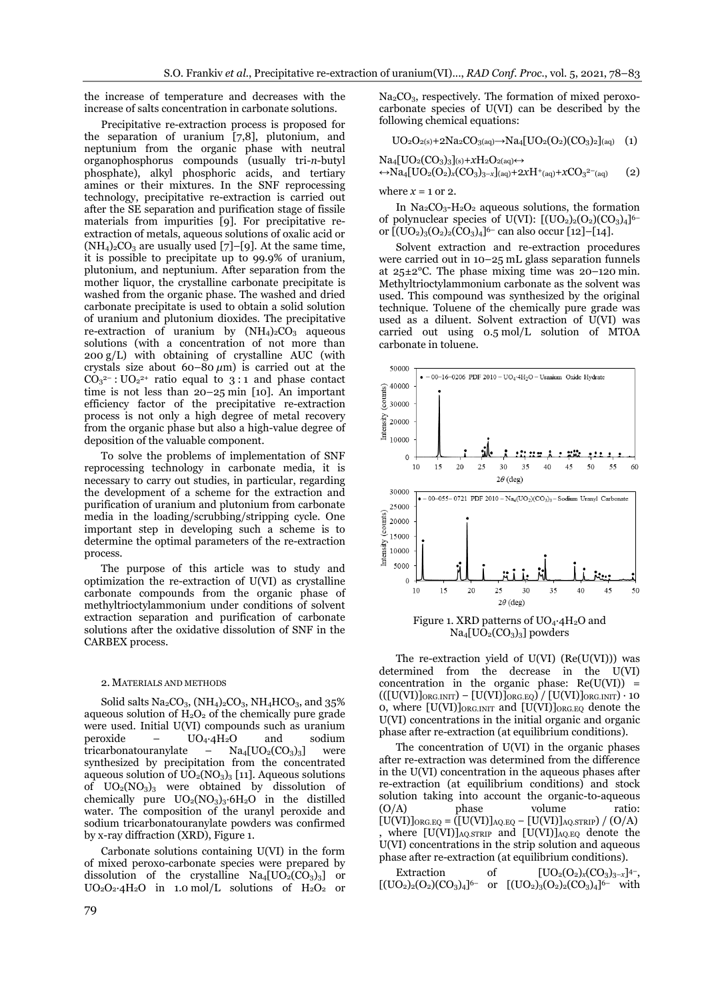the increase of temperature and decreases with the increase of salts concentration in carbonate solutions.

Precipitative re-extraction process is proposed for the separation of uranium [7,8], plutonium, and neptunium from the organic phase with neutral organophosphorus compounds (usually tri-*n*-butyl phosphate), alkyl phosphoric acids, and tertiary amines or their mixtures. In the SNF reprocessing technology, precipitative re-extraction is carried out after the SE separation and purification stage of fissile materials from impurities [9]. For precipitative reextraction of metals, aqueous solutions of oxalic acid or  $(NH_4)_2CO_3$  are usually used [7]–[9]. At the same time, it is possible to precipitate up to 99.9% of uranium, plutonium, and neptunium. After separation from the mother liquor, the crystalline carbonate precipitate is washed from the organic phase. The washed and dried carbonate precipitate is used to obtain a solid solution of uranium and plutonium dioxides. The precipitative re-extraction of uranium by  $(NH_4)_2CO_3$  aqueous solutions (with a concentration of not more than 200 g/L) with obtaining of crystalline AUC (with crystals size about  $60-80 \mu m$ ) is carried out at the  $CO<sub>3</sub><sup>2-</sup>:  $UO<sub>2</sub><sup>2+</sup>$  ratio equal to 3:1 and phase contact$ time is not less than 20–25 min [10]. An important efficiency factor of the precipitative re-extraction process is not only a high degree of metal recovery from the organic phase but also a high-value degree of deposition of the valuable component.

To solve the problems of implementation of SNF reprocessing technology in carbonate media, it is necessary to carry out studies, in particular, regarding the development of a scheme for the extraction and purification of uranium and plutonium from carbonate media in the loading/scrubbing/stripping cycle. One important step in developing such a scheme is to determine the optimal parameters of the re-extraction process.

The purpose of this article was to study and optimization the re-extraction of U(VI) as crystalline carbonate compounds from the organic phase of methyltrioctylammonium under conditions of solvent extraction separation and purification of carbonate solutions after the oxidative dissolution of SNF in the CARBEX process.

## 2. MATERIALS AND METHODS

Solid salts  $Na_2CO_3$ ,  $(NH_4)_2CO_3$ ,  $NH_4HCO_3$ , and 35% aqueous solution of  $H_2O_2$  of the chemically pure grade were used. Initial U(VI) compounds such as uranium peroxide – UO4∙4H2O and sodium tricarbonatouranylate –  $\text{Na}_{4}[\text{UO}_{2}(\text{CO}_{3})_{3}]$  were synthesized by precipitation from the concentrated aqueous solution of  $UO<sub>2</sub>(NO<sub>3</sub>)<sub>3</sub>$  [11]. Aqueous solutions of  $UO<sub>2</sub>(NO<sub>3</sub>)<sub>3</sub>$  were obtained by dissolution of chemically pure  $UO_2(NO_3)_3.6H_2O$  in the distilled water. The composition of the uranyl peroxide and sodium tricarbonatouranylate powders was confirmed by x-ray diffraction (XRD), Figure 1.

Carbonate solutions containing U(VI) in the form of mixed peroxo-carbonate species were prepared by dissolution of the crystalline  $Na<sub>4</sub>[UO<sub>2</sub>(CO<sub>3</sub>)<sub>3</sub>]$  or UO2O2∙4H2O in 1.0 mol/L solutions of H2O<sup>2</sup> or  $Na<sub>2</sub>CO<sub>3</sub>$ , respectively. The formation of mixed peroxocarbonate species of U(VI) can be described by the following chemical equations:

$$
UO2O2(s)+2Na2CO3(aq) \rightarrow Na4[UO2(O2)(CO3)2](aq)
$$
 (1)

Na4[UO2(CO3)3](s)+*x*H2O2(aq)↔ ↔Na4[UO2(O2)*x*(CO3)3–*x*](aq)+2*x*H<sup>+</sup> (aq)+*x*CO<sup>3</sup> 2– (aq) (2)

where  $x = 1$  or 2.

In  $Na_2CO_3-H_2O_2$  aqueous solutions, the formation of polynuclear species of U(VI):  $[(UO<sub>2</sub>)<sub>2</sub>(O<sub>2</sub>)(CO<sub>3</sub>)<sub>4</sub>]$ <sup>6-</sup> or [(UO2)3(O2)2(CO3)4]<sup>6–</sup> can also occur [12]–[14].

Solvent extraction and re-extraction procedures were carried out in 10–25 mL glass separation funnels at 25±2°C. The phase mixing time was 20–120 min. Methyltrioctylammonium carbonate as the solvent was used. This compound was synthesized by the original technique. Toluene of the chemically pure grade was used as a diluent. Solvent extraction of U(VI) was carried out using 0.5 mol/L solution of MTOA carbonate in toluene.



 $Na_4[UO_2(CO_3)_3]$  powders

The re-extraction yield of  $U(VI)$   $(Re(U(VI)))$  was determined from the decrease in the U(VI) concentration in the organic phase:  $Re(U(VI))$  =  $(([U(VI)]_{ORG.INIT}) - [U(VI)]_{ORG.EQ}) / [U(VI)]_{ORG.INIT}) \cdot 10$ 0, where  $[U(VI)]_{ORG.INIT}$  and  $[U(VI)]_{ORG.EQ}$  denote the U(VI) concentrations in the initial organic and organic phase after re-extraction (at equilibrium conditions).

The concentration of U(VI) in the organic phases after re-extraction was determined from the difference in the U(VI) concentration in the aqueous phases after re-extraction (at equilibrium conditions) and stock solution taking into account the organic-to-aqueous (О/A) phase volume ratio:  $[U(VI)]_{ORG.EQ} = ([U(VI)]_{AQ.EQ} - [U(VI)]_{AQ,STRIP}) / (O/A)$ where  $[U(VI)]_{AQ,STRIP}$  and  $[U(VI)]_{AQ,EQ}$  denote the U(VI) concentrations in the strip solution and aqueous phase after re-extraction (at equilibrium conditions).

| Extraction | οf | $[UO_2(O_2)_x(CO_3)_{3-x}]^{4-}$                                               |  |
|------------|----|--------------------------------------------------------------------------------|--|
|            |    | $[(UO2)2(O2)(CO3)4]$ <sup>6-</sup> or $[(UO2)3(O2)2(CO3)4]$ <sup>6-</sup> with |  |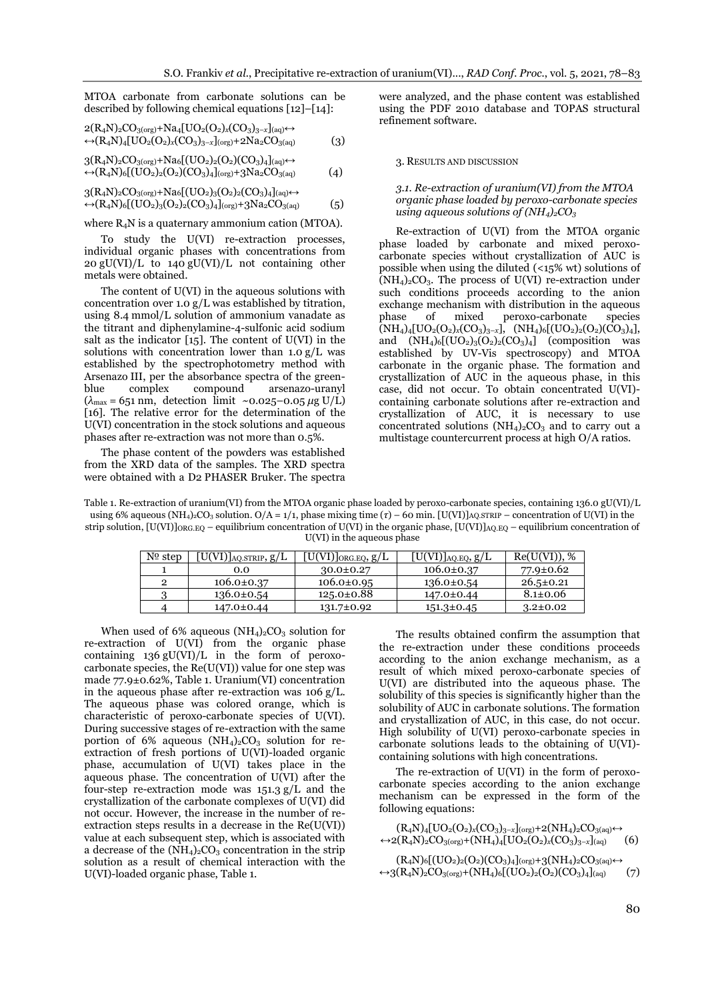MTOA carbonate from carbonate solutions can be described by following chemical equations [12]–[14]:

$$
2(R_4N)_2CO_{3(\text{org})} + Na_4[UO_2(O_2)_x(CO_3)_{3-x}]_{(aq)} \leftrightarrow (R_4N)_4[UO_2(O_2)_x(CO_3)_{3-x}]_{(\text{org})} + 2Na_2CO_{3(aq)}
$$
(3)

$$
3(R_4N)_2CO_{3(org)}+Na_6[(UO_2)_2(O_2)(CO_3)_4]_{(aq)} \leftrightarrow (R_4N)_6[(UO_2)_2(O_2)(CO_3)_4]_{(org)}+3Na_2CO_{3(aq)} \tag{4}
$$

$$
3(R_4N)_2CO_{3(\text{org})} + \text{Na6}[(UO_2)_3(O_2)_2(CO_3)_4]_{(aq)} \leftrightarrow \n\leftrightarrow (R_4N)_6[(UO_2)_3(O_2)_2(CO_3)_4]_{(\text{org})} + 3\text{Na}_2CO_{3(aq)}
$$
(5)

where  $R_4N$  is a quaternary ammonium cation (MTOA).

To study the U(VI) re-extraction processes, individual organic phases with concentrations from 20 gU(VI)/L to 140 gU(VI)/L not containing other metals were obtained.

The content of U(VI) in the aqueous solutions with concentration over 1.0 g/L was established by titration, using 8.4 mmol/L solution of ammonium vanadate as the titrant and diphenylamine-4-sulfonic acid sodium salt as the indicator [15]. The content of U(VI) in the solutions with concentration lower than  $1.0 \text{ g/L}$  was established by the spectrophotometry method with Arsenazo III, per the absorbance spectra of the green-<br>blue complex compound arsenazo-uranyl blue complex compound arsenazo-uranyl  $(\lambda_{\text{max}} = 651 \text{ nm}, \text{ detection limit } \sim 0.025 - 0.05 \mu\text{g U/L})$ [16]. The relative error for the determination of the U(VI) concentration in the stock solutions and aqueous phases after re-extraction was not more than 0.5%.

The phase content of the powders was established from the XRD data of the samples. The XRD spectra were obtained with a D2 PHASER Bruker. The spectra were analyzed, and the phase content was established using the PDF 2010 database and TOPAS structural refinement software.

#### 3. RESULTS AND DISCUSSION

## *3.1. Re-extraction of uranium(VI) from the MTOA organic phase loaded by peroxo-carbonate species using aqueous solutions of (NH4)2CO<sup>3</sup>*

Re-extraction of U(VI) from the MTOA organic phase loaded by carbonate and mixed peroxocarbonate species without crystallization of AUC is possible when using the diluted (<15% wt) solutions of  $(NH_4)_2CO_3$ . The process of U(VI) re-extraction under such conditions proceeds according to the anion exchange mechanism with distribution in the aqueous phase of mixed peroxo-carbonate species  $\overline{(NH_4)_4[}UO_2(O_2)_x(CO_3)_{3-x}], \overline{(NH_4)_6[}(UO_2)_2(O_2)(CO_3)_4],$ and  $(NH_4)_6[(UO_2)_3(O_2)_2(CO_3)_4]$  (composition was established by UV-Vis spectroscopy) and MTOA carbonate in the organic phase. The formation and crystallization of AUC in the aqueous phase, in this case, did not occur. To obtain concentrated U(VI) containing carbonate solutions after re-extraction and crystallization of AUC, it is necessary to use concentrated solutions  $(NH_4)_2CO_3$  and to carry out a multistage countercurrent process at high О/A ratios.

Table 1. Re-extraction of uranium(VI) from the MTOA organic phase loaded by peroxo-carbonate species, containing 136.0 gU(VI)/L using 6% aqueous (NH<sub>4</sub>)<sub>2</sub>CO<sub>3</sub> solution. O/A = 1/1, phase mixing time (τ) – 60 min. [U(VI)]<sub>AQ.STRIP</sub> – concentration of U(VI) in the strip solution,  $[U(VI)]_{\text{ORG.EO}}$  – equilibrium concentration of U(VI) in the organic phase,  $[U(VI)]_{\text{AQ.EQ}}$  – equilibrium concentration of U(VI) in the aqueous phase

| $No$ step | $[\mathrm{U}(\mathrm{VI})]_{\mathrm{AQ. STRIP}},\mathrm{g}/\mathrm{L}$ | $[\mathrm{U}(\mathrm{VI})]_{\mathrm{ORG}.\mathrm{EQ}}, \mathrm{g}/\mathrm{L}$ | $[U(VI)]_{AQ.EQ}$ , $g/L$ | Re(U(VI)), %    |
|-----------|------------------------------------------------------------------------|-------------------------------------------------------------------------------|---------------------------|-----------------|
|           | 0.0                                                                    | $30.0 \pm 0.27$                                                               | $106.0 \pm 0.37$          | 77.9±0.62       |
| 2         | $106.0 \pm 0.37$                                                       | $106.0 \pm 0.95$                                                              | $136.0 \pm 0.54$          | $26.5 \pm 0.21$ |
|           | $136.0 \pm 0.54$                                                       | $125.0 \pm 0.88$                                                              | 147.0±0.44                | $8.1 \pm 0.06$  |
|           | 147.0±0.44                                                             | 131.7±0.92                                                                    | $151.3 \pm 0.45$          | $3.2 \pm 0.02$  |

When used of 6% aqueous  $(NH_4)_2CO_3$  solution for re-extraction of U(VI) from the organic phase containing 136 gU(VI)/L in the form of peroxocarbonate species, the Re(U(VI)) value for one step was made 77.9±0.62%, Table 1. Uranium(VI) concentration in the aqueous phase after re-extraction was 106 g/L. The aqueous phase was colored orange, which is characteristic of peroxo-carbonate species of U(VI). During successive stages of re-extraction with the same portion of 6% aqueous  $(NH<sub>4</sub>)<sub>2</sub>CO<sub>3</sub>$  solution for reextraction of fresh portions of U(VI)-loaded organic phase, accumulation of U(VI) takes place in the aqueous phase. The concentration of U(VI) after the four-step re-extraction mode was  $151.3 \text{ g/L}$  and the crystallization of the carbonate complexes of U(VI) did not occur. However, the increase in the number of reextraction steps results in a decrease in the Re(U(VI)) value at each subsequent step, which is associated with a decrease of the  $(NH<sub>4</sub>)<sub>2</sub>CO<sub>3</sub>$  concentration in the strip solution as a result of chemical interaction with the U(VI)-loaded organic phase, Table 1.

The results obtained confirm the assumption that the re-extraction under these conditions proceeds according to the anion exchange mechanism, as a result of which mixed peroxo-carbonate species of U(VI) are distributed into the aqueous phase. The solubility of this species is significantly higher than the solubility of AUC in carbonate solutions. The formation and crystallization of AUC, in this case, do not occur. High solubility of U(VI) peroxo-carbonate species in carbonate solutions leads to the obtaining of U(VI) containing solutions with high concentrations.

The re-extraction of U(VI) in the form of peroxocarbonate species according to the anion exchange mechanism can be expressed in the form of the following equations:

$$
(R_4N)_4[UO_2(O_2)_x(CO_3)_{3-x}](_{org})+2(NH_4)_2CO_{3(aq)} \leftrightarrow \\ \leftrightarrow 2(R_4N)_2CO_{3(org)}+(NH_4)_4[UO_2(O_2)_x(CO_3)_{3-x}](_{aq}) \qquad (6)
$$

 $(R_4N)_6[(UO_2)_2(O_2)(CO_3)_4]_{(org)}+3(NH_4)_2CO_{3(aq)} \leftrightarrow$  $\leftrightarrow$ 3(R<sub>4</sub>N)<sub>2</sub>CO<sub>3(org</sub>)+(NH<sub>4</sub>)<sub>6</sub>[(UO<sub>2</sub>)<sub>2</sub>(O<sub>2</sub>)(CO<sub>3</sub>)<sub>4</sub>]<sub>(aq)</sub> (7)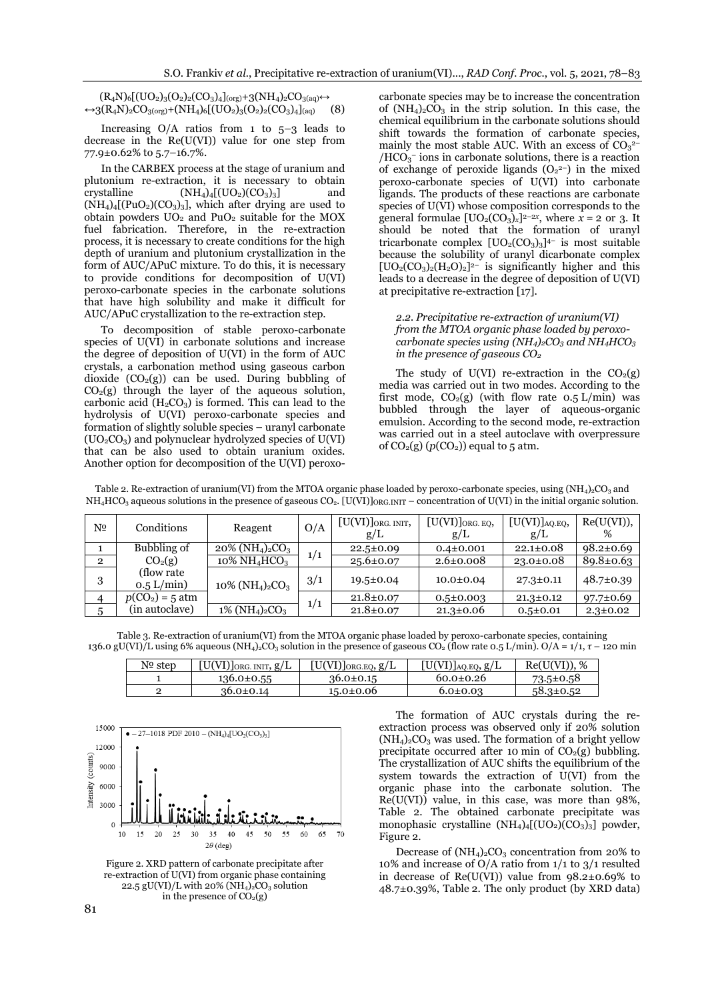$(R_4N)_6[(UO_2)_3(O_2)_2(CO_3)_4]_{\text{(org)}}+3(NH_4)_2CO_{3(aq)} \leftrightarrow$  $\leftrightarrow$ 3(R<sub>4</sub>N)<sub>2</sub>CO<sub>3(org</sub>)+(NH<sub>4</sub>)<sub>6</sub>[(UO<sub>2</sub>)<sub>3</sub>(O<sub>2</sub>)<sub>2</sub>(CO<sub>3</sub>)<sub>4</sub>]<sub>(aq)</sub> (8)

Increasing  $O/A$  ratios from 1 to  $5-3$  leads to decrease in the Re(U(VI)) value for one step from 77.9±0.62% to 5.7–16.7%.

In the CARBEX process at the stage of uranium and plutonium re-extraction, it is necessary to obtain crystalline  $(NH_4)_4$ [ $(UO_2)(CO_3)_3$ ] and  $(NH_4)$ <sub>4</sub>[(PuO<sub>2</sub>)(CO<sub>3</sub>)<sub>3</sub>], which after drying are used to obtain powders  $UO<sub>2</sub>$  and  $PuO<sub>2</sub>$  suitable for the MOX fuel fabrication. Therefore, in the re-extraction process, it is necessary to create conditions for the high depth of uranium and plutonium crystallization in the form of AUC/APuC mixture. To do this, it is necessary to provide conditions for decomposition of U(VI) peroxo-carbonate species in the carbonate solutions that have high solubility and make it difficult for AUC/APuC crystallization to the re-extraction step.

To decomposition of stable peroxo-carbonate species of U(VI) in carbonate solutions and increase the degree of deposition of U(VI) in the form of AUC crystals, a carbonation method using gaseous carbon dioxide  $(CO<sub>2</sub>(g))$  can be used. During bubbling of  $CO<sub>2</sub>(g)$  through the layer of the aqueous solution, carbonic acid  $(H_2CO_3)$  is formed. This can lead to the hydrolysis of U(VI) peroxo-carbonate species and formation of slightly soluble species – uranyl carbonate  $(UO<sub>2</sub>CO<sub>3</sub>)$  and polynuclear hydrolyzed species of U(VI) that can be also used to obtain uranium oxides. Another option for decomposition of the U(VI) peroxo-

carbonate species may be to increase the concentration of  $(NH_4)_2CO_3$  in the strip solution. In this case, the chemical equilibrium in the carbonate solutions should shift towards the formation of carbonate species, mainly the most stable AUC. With an excess of  $CO<sub>3</sub><sup>2</sup>$  $/HCO<sub>3</sub>$  ions in carbonate solutions, there is a reaction of exchange of peroxide ligands  $(O_2^2)$  in the mixed peroxo-carbonate species of U(VI) into carbonate ligands. The products of these reactions are carbonate species of U(VI) whose composition corresponds to the general formulae  $[UO_2(CO_3)_x]^{2-2x}$ , where  $x = 2$  or 3. It should be noted that the formation of uranyl tricarbonate complex  $[UO_2(CO_3)_3]^{4-}$  is most suitable because the solubility of uranyl dicarbonate complex  $[UO<sub>2</sub>(CO<sub>3</sub>)<sub>2</sub>(H<sub>2</sub>O)<sub>2</sub>]$ <sup>2-</sup> is significantly higher and this leads to a decrease in the degree of deposition of U(VI) at precipitative re-extraction [17].

## *2.2. Precipitative re-extraction of uranium(VI) from the MTOA organic phase loaded by peroxocarbonate species using (NH4)2CO<sup>3</sup> and NH4HCO<sup>3</sup> in the presence of gaseous CO<sup>2</sup>*

The study of U(VI) re-extraction in the  $CO<sub>2</sub>(g)$ media was carried out in two modes. According to the first mode,  $CO<sub>2</sub>(g)$  (with flow rate 0.5 L/min) was bubbled through the layer of aqueous-organic emulsion. According to the second mode, re-extraction was carried out in a steel autoclave with overpressure of  $CO<sub>2</sub>(g)$  ( $p(CO<sub>2</sub>)$ ) equal to 5 atm.

| Table 2. Re-extraction of uranium(VI) from the MTOA organic phase loaded by peroxo-carbonate species, using $(NH_4)_2CO_3$ and               |
|----------------------------------------------------------------------------------------------------------------------------------------------|
| $NH_4HCO_3$ aqueous solutions in the presence of gaseous $CO_2$ . [U(VI)] $ORGINT$ – concentration of U(VI) in the initial organic solution. |

| Nº             | Conditions                  | Reagent                                                | O/A | $[\mathrm{U}(\mathrm{VI})]_{\mathrm{ORG.\ INT}},$<br>g/L | $[\mathrm{U}(\mathrm{VI})]_{\mathrm{ORG.\ EQ}},$<br>g/L | $[\mathrm{U}(\mathrm{VI})]_{\text{AQ.EQ}},$<br>g/L | Re(U(VI)),<br>% |
|----------------|-----------------------------|--------------------------------------------------------|-----|----------------------------------------------------------|---------------------------------------------------------|----------------------------------------------------|-----------------|
|                | Bubbling of                 | $20\%$ (NH <sub>4</sub> ) <sub>2</sub> CO <sub>3</sub> |     | $22.5 \pm 0.09$                                          | $0.4 \pm 0.001$                                         | $22.1 \pm 0.08$                                    | $98.2 \pm 0.69$ |
| $\overline{2}$ | CO <sub>2</sub> (g)         | $10\% \mathrm{NH}_4\mathrm{HCO}_3$                     | 1/1 | $25.6 \pm 0.07$                                          | $2.6 \pm 0.008$                                         | $23.0 \pm 0.08$                                    | $89.8 \pm 0.63$ |
| 3              | (flow rate)<br>$0.5$ L/min) | $10\%$ (NH <sub>4</sub> ) <sub>2</sub> CO <sub>3</sub> | 3/1 | $19.5 \pm 0.04$                                          | $10.0 \pm 0.04$                                         | $27.3 \pm 0.11$                                    | 48.7±0.39       |
|                | $p(CO2) = 5$ atm            |                                                        |     | $21.8 \pm 0.07$                                          | $0.5 \pm 0.003$                                         | $21.3 \pm 0.12$                                    | $97.7 \pm 0.69$ |
|                | (in autoclave)              | $1\%$ (NH <sub>4</sub> ) <sub>2</sub> CO <sub>3</sub>  | 1/1 | $21.8 \pm 0.07$                                          | $21.3 \pm 0.06$                                         | $0.5 \pm 0.01$                                     | $2.3 \pm 0.02$  |

Table 3. Re-extraction of uranium(VI) from the MTOA organic phase loaded by peroxo-carbonate species, containing 136.0 gU(VI)/L using 6% aqueous (NH4)2CO<sup>3</sup> solution in the presence of gaseous CO<sup>2</sup> (flow rate 0.5 L/min). О/A = 1/1, *τ* – 120 min

| Nº step | $[U(VI)]_{ORG. INT}$ , $g/L$ | $[U(VI)]_{ORG.EQ}, g/L$ | $[U(VI)]_{AQ,EQ}$ , $g/L$ | Re(U(VI)), %    |
|---------|------------------------------|-------------------------|---------------------------|-----------------|
|         | $136.0 \pm 0.55$             | $36.0 \pm 0.15$         | $60.0 \pm 0.26$           | $73.5 \pm 0.58$ |
|         | $36.0 \pm 0.14$              | $15.0 \pm 0.06$         | $6.0 \pm 0.03$            | $58.3 \pm 0.52$ |



Figure 2. XRD pattern of carbonate precipitate after re-extraction of U(VI) from organic phase containing 22.5 gU(VI)/L with 20% (NH<sub>4</sub>)<sub>2</sub>CO<sub>3</sub> solution in the presence of  $CO<sub>2</sub>(g)$ 

The formation of AUC crystals during the reextraction process was observed only if 20% solution  $(NH<sub>4</sub>)<sub>2</sub>CO<sub>3</sub>$  was used. The formation of a bright yellow precipitate occurred after 10 min of  $CO<sub>2</sub>(g)$  bubbling. The crystallization of AUC shifts the equilibrium of the system towards the extraction of U(VI) from the organic phase into the carbonate solution. The  $Re(U(VI))$  value, in this case, was more than 98%, Table 2. The obtained carbonate precipitate was monophasic crystalline  $(NH<sub>4</sub>)<sub>4</sub>$ [(UO<sub>2</sub>)(CO<sub>3</sub>)<sub>3</sub>] powder, Figure 2.

Decrease of  $(NH_4)_2CO_3$  concentration from 20% to 10% and increase of O/A ratio from 1/1 to 3/1 resulted in decrease of  $Re(U(VI))$  value from  $98.2 \pm 0.69\%$  to 48.7±0.39%, Table 2. The only product (by XRD data)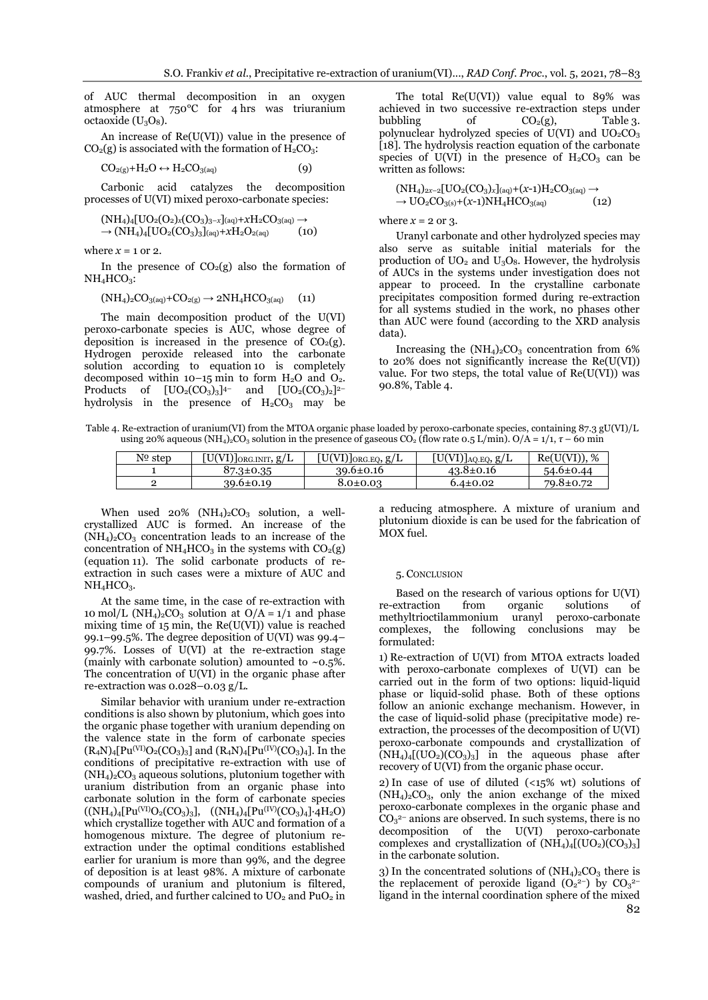of AUC thermal decomposition in an oxygen atmosphere at 750°C for 4 hrs was triuranium octaoxide  $(U_3O_8)$ .

An increase of Re(U(VI)) value in the presence of  $CO<sub>2</sub>(g)$  is associated with the formation of  $H<sub>2</sub>CO<sub>3</sub>$ :

$$
CO_{2(g)} + H_2O \leftrightarrow H_2CO_{3(aq)} \tag{9}
$$

Carbonic acid catalyzes the decomposition processes of U(VI) mixed peroxo-carbonate species:

$$
(\text{NH}_4)_4[\text{UO}_2(\text{O}_2)_x(\text{CO}_3)_3]_{(aq)} + x\text{H}_2\text{CO}_3(aq) \rightarrow \rightarrow (\text{NH}_4)_4[\text{UO}_2(\text{CO}_3)_3]_{(aq)} + x\text{H}_2\text{O}_2(aq)
$$
(10)

where  $x = 1$  or 2.

In the presence of  $CO<sub>2</sub>(g)$  also the formation of  $NH<sub>4</sub>HCO<sub>3</sub>$ :

$$
(NH4)2CO3(aq)+CO2(g) \rightarrow 2NH4HCO3(aq)
$$
 (11)

The main decomposition product of the U(VI) peroxo-carbonate species is AUC, whose degree of deposition is increased in the presence of  $CO<sub>2</sub>(g)$ . Hydrogen peroxide released into the carbonate solution according to equation 10 is completely decomposed within  $10-15$  min to form  $H_2O$  and  $O_2$ . Products of  $[UO<sub>2</sub>(CO<sub>3</sub>)<sub>3</sub>]$ <sup>4-</sup> 4- and  $[UO_2(CO_3)_2]^{2-}$ hydrolysis in the presence of  $H_2CO_3$  may be

The total  $Re(U(VI))$  value equal to 89% was achieved in two successive re-extraction steps under bubbling of  $CO<sub>2</sub>(g)$ , Table 3. polynuclear hydrolyzed species of  $U(VI)$  and  $UO<sub>2</sub>CO<sub>3</sub>$ [18]. The hydrolysis reaction equation of the carbonate species of U(VI) in the presence of  $H_2CO_3$  can be written as follows:

$$
(\text{NH}_4)_{2x-2}[\text{UO}_2(\text{CO}_3)_x]_{(aq)} + (x-1)\text{H}_2\text{CO}_{3(aq)} \rightarrow \text{UO}_2\text{CO}_{3(s)} + (x-1)\text{NH}_4\text{HCO}_{3(aq)} \tag{12}
$$

where  $x = 2$  or 3.

Uranyl carbonate and other hydrolyzed species may also serve as suitable initial materials for the production of  $UO<sub>2</sub>$  and  $U<sub>3</sub>O<sub>8</sub>$ . However, the hydrolysis of AUCs in the systems under investigation does not appear to proceed. In the crystalline carbonate precipitates composition formed during re-extraction for all systems studied in the work, no phases other than AUC were found (according to the XRD analysis data).

Increasing the  $(NH<sub>4</sub>)<sub>2</sub>CO<sub>3</sub>$  concentration from 6% to 20% does not significantly increase the Re(U(VI)) value. For two steps, the total value of  $Re(U(VI))$  was 90.8%, Table 4.

Table 4. Re-extraction of uranium(VI) from the MTOA organic phase loaded by peroxo-carbonate species, containing 87.3 gU(VI)/L using 20% aqueous (NH<sub>4</sub>)<sub>2</sub>CO<sub>3</sub> solution in the presence of gaseous CO<sub>2</sub> (flow rate 0.5 L/min). O/A = 1/1,  $\tau$  – 60 min

| Nº step | $[U(VI)]_{ORG. INTT, g/L}$ | $[U(VI)]_{ORG.EQ}, g/L$ | $[U(VI)]_{AQ.EQ}$ , $g/L$ | Re(U(VI)), %    |
|---------|----------------------------|-------------------------|---------------------------|-----------------|
|         | $87.3 \pm 0.35$            | $39.6 \pm 0.16$         | $43.8 \pm 0.16$           | $54.6 \pm 0.44$ |
|         | $39.6 \pm 0.19$            | $8.0 \pm 0.03$          | $6.4 \pm 0.02$            | 79.8±0.72       |

When used  $20\%$  (NH<sub>4</sub>)<sub>2</sub>CO<sub>3</sub> solution, a wellcrystallized AUC is formed. An increase of the  $(NH_4)_2CO_3$  concentration leads to an increase of the concentration of  $NH_4HCO_3$  in the systems with  $CO_2(g)$ (equation 11). The solid carbonate products of reextraction in such cases were a mixture of AUC and  $NH<sub>4</sub>HCO<sub>3</sub>$ .

At the same time, in the case of re-extraction with 10 mol/L (NH<sub>4</sub>)<sub>2</sub>CO<sub>3</sub> solution at O/A =  $1/1$  and phase mixing time of  $15$  min, the  $Re(U(VI))$  value is reached 99.1–99.5%. The degree deposition of U(VI) was 99.4– 99.7%. Losses of U(VI) at the re-extraction stage (mainly with carbonate solution) amounted to  $~0.5\%$ . The concentration of U(VI) in the organic phase after re-extraction was 0.028–0.03 g/L.

Similar behavior with uranium under re-extraction conditions is also shown by plutonium, which goes into the organic phase together with uranium depending on the valence state in the form of carbonate species  $(R_4N)_4[Pu^{(VI)}O_2(CO_3)_3]$  and  $(R_4N)_4[Pu^{(IV)}(CO_3)_4]$ . In the conditions of precipitative re-extraction with use of  $(NH<sub>4</sub>)<sub>2</sub>CO<sub>3</sub>$  aqueous solutions, plutonium together with uranium distribution from an organic phase into carbonate solution in the form of carbonate species  $((NH_4)_4[Pu<sup>(VI)</sup>O<sub>2</sub>(CO<sub>3</sub>)<sub>3</sub>], (NH<sub>4</sub>)<sub>4</sub>[Pu<sup>(IV)</sup>(CO<sub>3</sub>)<sub>4</sub>].4H<sub>2</sub>O)$ which crystallize together with AUC and formation of a homogenous mixture. The degree of plutonium reextraction under the optimal conditions established earlier for uranium is more than 99%, and the degree of deposition is at least 98%. A mixture of carbonate compounds of uranium and plutonium is filtered, washed, dried, and further calcined to  $UO<sub>2</sub>$  and  $PuO<sub>2</sub>$  in

a reducing atmosphere. A mixture of uranium and plutonium dioxide is can be used for the fabrication of MOX fuel.

## 5. CONCLUSION

Based on the research of various options for U(VI) re-extraction from organic solutions of<br>methyltrioctilammonium uranyl peroxo-carbonate methyltrioctilammonium uranyl complexes, the following conclusions may be formulated:

1) Re-extraction of U(VI) from MTOA extracts loaded with peroxo-carbonate complexes of U(VI) can be carried out in the form of two options: liquid-liquid phase or liquid-solid phase. Both of these options follow an anionic exchange mechanism. However, in the case of liquid-solid phase (precipitative mode) reextraction, the processes of the decomposition of U(VI) peroxo-carbonate compounds and crystallization of  $(NH_4)_{4}$ [(UO<sub>2</sub>)(CO<sub>3</sub>)<sub>3</sub>] in the aqueous phase after recovery of U(VI) from the organic phase occur.

2) In case of use of diluted  $($ <15% wt) solutions of  $(NH<sub>4</sub>)<sub>2</sub>CO<sub>3</sub>$ , only the anion exchange of the mixed peroxo-carbonate complexes in the organic phase and  $CO<sub>3</sub><sup>2-</sup>$  anions are observed. In such systems, there is no decomposition of the U(VI) peroxo-carbonate complexes and crystallization of  $(NH_4)_{4}$ [(UO<sub>2</sub>)(CO<sub>3</sub>)<sub>3</sub>] in the carbonate solution.

82 3) In the concentrated solutions of  $(NH<sub>4</sub>)<sub>2</sub>CO<sub>3</sub>$  there is the replacement of peroxide ligand  $(O_2^2)$  by  $CO_3^2$ ligand in the internal coordination sphere of the mixed